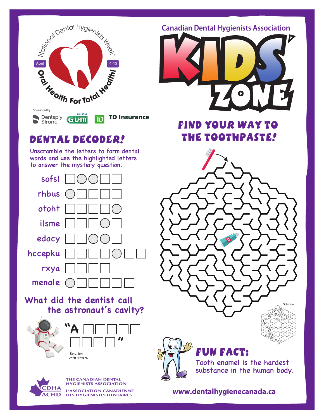

## dental decoder!

Unscramble the letters to form dental words and use the highlighted letters to answer the mystery question.



**What did the dentist call the astronaut's cavity?**





Solution "A Black Hole"



**THE CANADIAN DENTAL HYGIENISTS ASSOCIATION** L'ASSOCIATION CANADIENNE **DES HYGIÉNISTES DENTAIRES** 

**Canadian Dental Hygienists Association**



Find your way to the toothpaste!

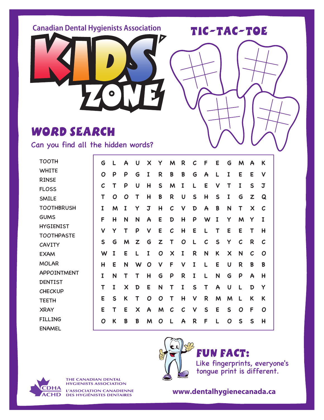**Canadian Dental Hygienists Association**

TIC-TAC-TOE



## WORD SEARCH

Can you find all the hidden words?

| <b>TOOTH</b>      | G            | L | A | U                         | X | Y            | M                         | R              | C            | F            | E | G                         | M            | A                         | К              |  |
|-------------------|--------------|---|---|---------------------------|---|--------------|---------------------------|----------------|--------------|--------------|---|---------------------------|--------------|---------------------------|----------------|--|
| <b>WHITE</b>      | O            | P | P | G                         | I | R            | B                         | B              | G            | $\mathsf{A}$ |   | I                         | E            | E                         | V              |  |
| <b>RINSE</b>      |              |   |   |                           |   |              |                           |                |              |              |   |                           |              |                           |                |  |
| <b>FLOSS</b>      | $\mathcal C$ | Τ | P | U                         | H | $\mathsf{S}$ | M                         | I              |              | E            | ٧ | Τ                         | I            | S                         | J              |  |
| <b>SMILE</b>      | T            | O | Ο | Т                         | Н | B            | R                         | U              | $\mathsf{S}$ | H            | S | I                         | G            | $\mathbf{z}$              | Q              |  |
| <b>TOOTHBRUSH</b> | I            | M | I | Y                         | J | H            | $\mathcal C$              | $\checkmark$   | D            | A            | B | N                         | T            | $\boldsymbol{\mathsf{X}}$ | $\mathcal C$   |  |
| <b>GUMS</b>       | F            | H | N | N                         | A | E            | D                         | $\overline{H}$ | P            | W            | I | Y                         | M            | Y                         | $\mathbf I$    |  |
| <b>HYGIENIST</b>  | $\mathsf{v}$ | Y | Т | P                         | V | E            | $\mathcal C$              | H              | E            | L            | т | E                         | E            | Τ                         | H              |  |
| <b>TOOTHPASTE</b> |              |   |   |                           |   |              |                           |                |              |              |   |                           |              |                           |                |  |
| <b>CAVITY</b>     | S            | G | M | Z                         | G | Z            | Т                         | O              |              | $\mathcal C$ | S | Y                         | $\mathcal C$ | R                         | $\mathcal C$   |  |
| <b>EXAM</b>       | W            | I | E |                           | I | O            | $\boldsymbol{\mathsf{X}}$ | I              | R            | N            | K | $\boldsymbol{\mathsf{X}}$ | N            | $\mathcal C$              | O              |  |
| <b>MOLAR</b>      | H            | E | N | W                         | O | V            | F                         | V              | I            | L            | E | $\mathbf U$               | R            | B                         | B              |  |
| APPOINTMENT       | I            | N | Т | Т                         | H | G            | P                         | R              | I            | L            | N | G                         | P            | A                         | H              |  |
| <b>DENTIST</b>    |              |   |   |                           |   |              |                           |                |              |              |   |                           |              |                           |                |  |
| <b>CHECKUP</b>    | T            | I | X | D                         | E | N            | T                         | I              | $\mathsf{S}$ | Τ            | A | $\mathbf U$               | L            | D                         | Y              |  |
| <b>TEETH</b>      | E            | S | K | Т                         | O | Ο            | Τ                         | H              | V            | R            | M | M                         |              | K                         | K              |  |
| <b>XRAY</b>       | E            | Τ | E | $\boldsymbol{\mathsf{X}}$ | A | M            | $\mathcal C$              | $\mathcal C$   | $\vee$       | S            | E | S                         | O            | F                         | O              |  |
| <b>FILLING</b>    | O            | K | B | B                         | M | O            | L                         | A              | R            | F            | L | O                         | S            | S                         | $\overline{H}$ |  |
| <b>ENAMEL</b>     |              |   |   |                           |   |              |                           |                |              |              |   |                           |              |                           |                |  |



FUN FACT:

Like fingerprints, everyone's tongue print is different.



**THE CANADIAN DENTAL HYGIENISTS ASSOCIATION** L'ASSOCIATION CANADIENNE **DES HYGIÉNISTES DENTAIRES**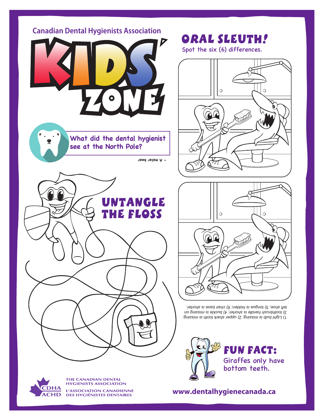



**THE CANADIAN DENTAL HYGIENISTS ASSOCIATION** L'ASSOCIATION CANADIENNE

**DES HYGIÉNISTES DENTAIRES**